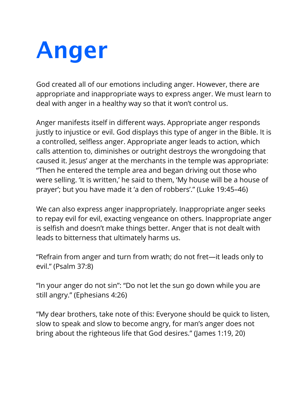## **Anger**

God created all of our emotions including anger. However, there are appropriate and inappropriate ways to express anger. We must learn to deal with anger in a healthy way so that it won't control us.

Anger manifests itself in different ways. Appropriate anger responds justly to injustice or evil. God displays this type of anger in the Bible. It is a controlled, selfless anger. Appropriate anger leads to action, which calls attention to, diminishes or outright destroys the wrongdoing that caused it. Jesus' anger at the merchants in the temple was appropriate: "Then he entered the temple area and began driving out those who were selling. 'It is written,' he said to them, 'My house will be a house of prayer'; but you have made it 'a den of robbers'." (Luke 19:45–46)

We can also express anger inappropriately. Inappropriate anger seeks to repay evil for evil, exacting vengeance on others. Inappropriate anger is selfish and doesn't make things better. Anger that is not dealt with leads to bitterness that ultimately harms us.

"Refrain from anger and turn from wrath; do not fret—it leads only to evil." (Psalm 37:8)

"In your anger do not sin": "Do not let the sun go down while you are still angry." (Ephesians 4:26)

"My dear brothers, take note of this: Everyone should be quick to listen, slow to speak and slow to become angry, for man's anger does not bring about the righteous life that God desires." (James 1:19, 20)